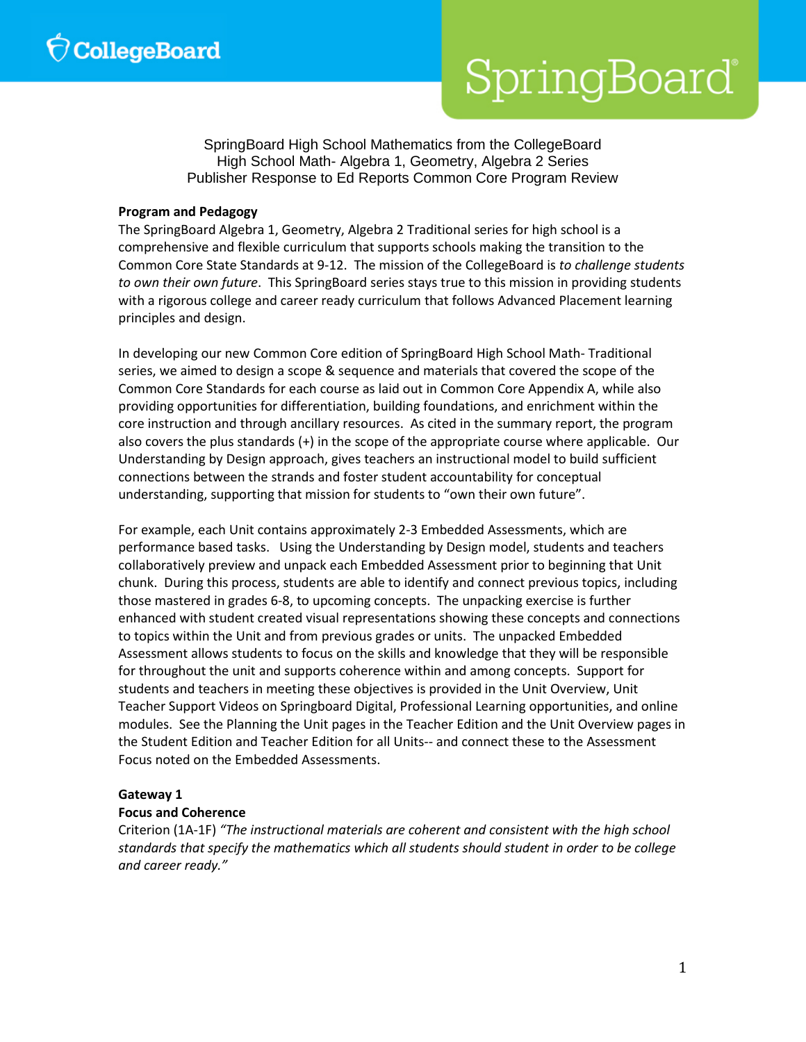SpringBoard High School Mathematics from the CollegeBoard High School Math- Algebra 1, Geometry, Algebra 2 Series Publisher Response to Ed Reports Common Core Program Review

#### **Program and Pedagogy**

The SpringBoard Algebra 1, Geometry, Algebra 2 Traditional series for high school is a comprehensive and flexible curriculum that supports schools making the transition to the Common Core State Standards at 9-12. The mission of the CollegeBoard is *to challenge students to own their own future*. This SpringBoard series stays true to this mission in providing students with a rigorous college and career ready curriculum that follows Advanced Placement learning principles and design.

In developing our new Common Core edition of SpringBoard High School Math- Traditional series, we aimed to design a scope & sequence and materials that covered the scope of the Common Core Standards for each course as laid out in Common Core Appendix A, while also providing opportunities for differentiation, building foundations, and enrichment within the core instruction and through ancillary resources. As cited in the summary report, the program also covers the plus standards (+) in the scope of the appropriate course where applicable. Our Understanding by Design approach, gives teachers an instructional model to build sufficient connections between the strands and foster student accountability for conceptual understanding, supporting that mission for students to "own their own future".

For example, each Unit contains approximately 2-3 Embedded Assessments, which are performance based tasks. Using the Understanding by Design model, students and teachers collaboratively preview and unpack each Embedded Assessment prior to beginning that Unit chunk. During this process, students are able to identify and connect previous topics, including those mastered in grades 6-8, to upcoming concepts. The unpacking exercise is further enhanced with student created visual representations showing these concepts and connections to topics within the Unit and from previous grades or units. The unpacked Embedded Assessment allows students to focus on the skills and knowledge that they will be responsible for throughout the unit and supports coherence within and among concepts. Support for students and teachers in meeting these objectives is provided in the Unit Overview, Unit Teacher Support Videos on Springboard Digital, Professional Learning opportunities, and online modules. See the Planning the Unit pages in the Teacher Edition and the Unit Overview pages in the Student Edition and Teacher Edition for all Units-- and connect these to the Assessment Focus noted on the Embedded Assessments.

#### **Gateway 1**

#### **Focus and Coherence**

Criterion (1A-1F) *"The instructional materials are coherent and consistent with the high school standards that specify the mathematics which all students should student in order to be college and career ready."*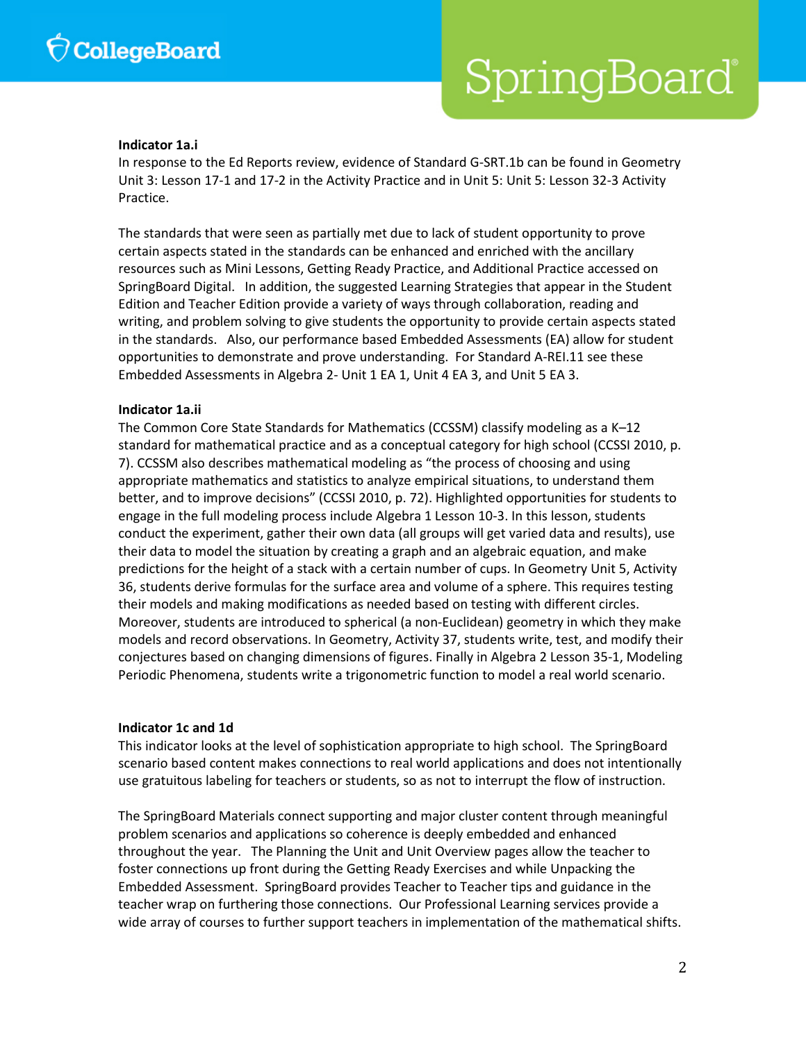#### **Indicator 1a.i**

In response to the Ed Reports review, evidence of Standard G-SRT.1b can be found in Geometry Unit 3: Lesson 17-1 and 17-2 in the Activity Practice and in Unit 5: Unit 5: Lesson 32-3 Activity Practice.

The standards that were seen as partially met due to lack of student opportunity to prove certain aspects stated in the standards can be enhanced and enriched with the ancillary resources such as Mini Lessons, Getting Ready Practice, and Additional Practice accessed on SpringBoard Digital. In addition, the suggested Learning Strategies that appear in the Student Edition and Teacher Edition provide a variety of ways through collaboration, reading and writing, and problem solving to give students the opportunity to provide certain aspects stated in the standards. Also, our performance based Embedded Assessments (EA) allow for student opportunities to demonstrate and prove understanding. For Standard A-REI.11 see these Embedded Assessments in Algebra 2- Unit 1 EA 1, Unit 4 EA 3, and Unit 5 EA 3.

#### **Indicator 1a.ii**

The Common Core State Standards for Mathematics (CCSSM) classify modeling as a K–12 standard for mathematical practice and as a conceptual category for high school (CCSSI 2010, p. 7). CCSSM also describes mathematical modeling as "the process of choosing and using appropriate mathematics and statistics to analyze empirical situations, to understand them better, and to improve decisions" (CCSSI 2010, p. 72). Highlighted opportunities for students to engage in the full modeling process include Algebra 1 Lesson 10-3. In this lesson, students conduct the experiment, gather their own data (all groups will get varied data and results), use their data to model the situation by creating a graph and an algebraic equation, and make predictions for the height of a stack with a certain number of cups. In Geometry Unit 5, Activity 36, students derive formulas for the surface area and volume of a sphere. This requires testing their models and making modifications as needed based on testing with different circles. Moreover, students are introduced to spherical (a non-Euclidean) geometry in which they make models and record observations. In Geometry, Activity 37, students write, test, and modify their conjectures based on changing dimensions of figures. Finally in Algebra 2 Lesson 35-1, Modeling Periodic Phenomena, students write a trigonometric function to model a real world scenario.

#### **Indicator 1c and 1d**

This indicator looks at the level of sophistication appropriate to high school. The SpringBoard scenario based content makes connections to real world applications and does not intentionally use gratuitous labeling for teachers or students, so as not to interrupt the flow of instruction.

The SpringBoard Materials connect supporting and major cluster content through meaningful problem scenarios and applications so coherence is deeply embedded and enhanced throughout the year. The Planning the Unit and Unit Overview pages allow the teacher to foster connections up front during the Getting Ready Exercises and while Unpacking the Embedded Assessment. SpringBoard provides Teacher to Teacher tips and guidance in the teacher wrap on furthering those connections. Our Professional Learning services provide a wide array of courses to further support teachers in implementation of the mathematical shifts.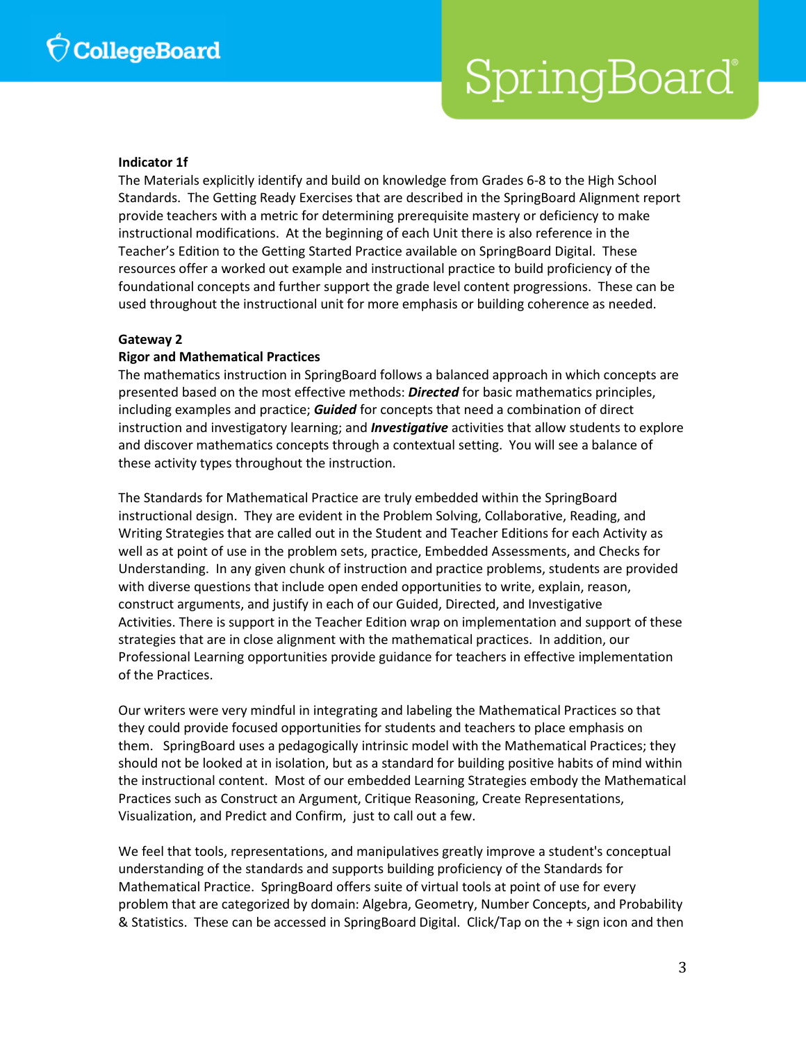#### **Indicator 1f**

The Materials explicitly identify and build on knowledge from Grades 6-8 to the High School Standards. The Getting Ready Exercises that are described in the SpringBoard Alignment report provide teachers with a metric for determining prerequisite mastery or deficiency to make instructional modifications. At the beginning of each Unit there is also reference in the Teacher's Edition to the Getting Started Practice available on SpringBoard Digital. These resources offer a worked out example and instructional practice to build proficiency of the foundational concepts and further support the grade level content progressions. These can be used throughout the instructional unit for more emphasis or building coherence as needed.

#### **Gateway 2**

#### **Rigor and Mathematical Practices**

The mathematics instruction in SpringBoard follows a balanced approach in which concepts are presented based on the most effective methods: *Directed* for basic mathematics principles, including examples and practice; *Guided* for concepts that need a combination of direct instruction and investigatory learning; and *Investigative* activities that allow students to explore and discover mathematics concepts through a contextual setting. You will see a balance of these activity types throughout the instruction.

The Standards for Mathematical Practice are truly embedded within the SpringBoard instructional design. They are evident in the Problem Solving, Collaborative, Reading, and Writing Strategies that are called out in the Student and Teacher Editions for each Activity as well as at point of use in the problem sets, practice, Embedded Assessments, and Checks for Understanding. In any given chunk of instruction and practice problems, students are provided with diverse questions that include open ended opportunities to write, explain, reason, construct arguments, and justify in each of our Guided, Directed, and Investigative Activities. There is support in the Teacher Edition wrap on implementation and support of these strategies that are in close alignment with the mathematical practices. In addition, our Professional Learning opportunities provide guidance for teachers in effective implementation of the Practices.

Our writers were very mindful in integrating and labeling the Mathematical Practices so that they could provide focused opportunities for students and teachers to place emphasis on them. SpringBoard uses a pedagogically intrinsic model with the Mathematical Practices; they should not be looked at in isolation, but as a standard for building positive habits of mind within the instructional content. Most of our embedded Learning Strategies embody the Mathematical Practices such as Construct an Argument, Critique Reasoning, Create Representations, Visualization, and Predict and Confirm, just to call out a few.

We feel that tools, representations, and manipulatives greatly improve a student's conceptual understanding of the standards and supports building proficiency of the Standards for Mathematical Practice. SpringBoard offers suite of virtual tools at point of use for every problem that are categorized by domain: Algebra, Geometry, Number Concepts, and Probability & Statistics. These can be accessed in SpringBoard Digital. Click/Tap on the + sign icon and then